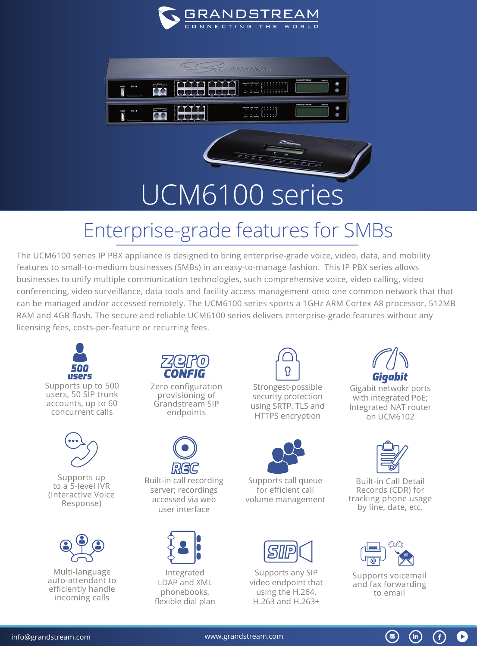



## UCM6100 series

## Enterprise-grade features for SMBs

The UCM6100 series IP PBX appliance is designed to bring enterprise-grade voice, video, data, and mobility features to small-to-medium businesses (SMBs) in an easy-to-manage fashion. This IP PBX series allows businesses to unify multiple communication technologies, such comprehensive voice, video calling, video conferencing, video surveillance, data tools and facility access management onto one common network that that can be managed and/or accessed remotely. The UCM6100 series sports a 1GHz ARM Cortex A8 processor, 512MB RAM and 4GB flash. The secure and reliable UCM6100 series delivers enterprise-grade features without any licensing fees, costs-per-feature or recurring fees.





Supports up to a 5-level IVR (Interactive Voice Response)



Multi-language auto-attendant to efficiently handle incoming calls



Zero configuration provisioning of Grandstream SIP endpoints



Built-in call recording server; recordings accessed via web user interface



Integrated LDAP and XML phonebooks, flexible dial plan



Strongest-possible security protection using SRTP, TLS and HTTPS encryption



Supports call queue for efficient call volume management



Supports any SIP video endpoint that using the H.264, H.263 and H.263+



Gigabit netwokr ports with integrated PoE; Integrated NAT router on UCM6102



Built-in Call Detail Records (CDR) for tracking phone usage by line, date, etc.



Supports voicemail and fax forwarding to email

 $\circledast$ 

 $(in)$ 

G